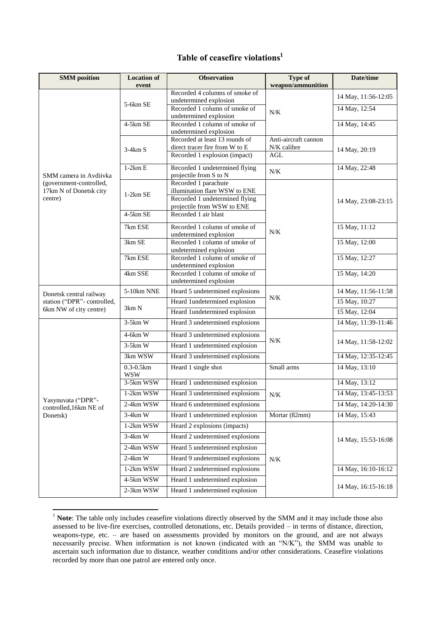## **Table of ceasefire violations<sup>1</sup>**

| <b>SMM</b> position                                      | <b>Location of</b>          | <b>Observation</b>                                       | Type of                             | Date/time           |
|----------------------------------------------------------|-----------------------------|----------------------------------------------------------|-------------------------------------|---------------------|
|                                                          | event                       |                                                          | weapon/ammunition                   |                     |
|                                                          | 5-6km SE                    | Recorded 4 columns of smoke of<br>undetermined explosion |                                     | 14 May, 11:56-12:05 |
|                                                          |                             | Recorded 1 column of smoke of                            |                                     | 14 May, 12:54       |
|                                                          |                             | undetermined explosion                                   | N/K                                 |                     |
|                                                          | 4-5km SE                    | Recorded 1 column of smoke of                            |                                     | 14 May, 14:45       |
|                                                          |                             | undetermined explosion<br>Recorded at least 13 rounds of |                                     |                     |
|                                                          |                             | direct tracer fire from W to E                           | Anti-aircraft cannon<br>N/K calibre |                     |
|                                                          | $3-4km S$                   | Recorded 1 explosion (impact)                            | AGL                                 | 14 May, 20:19       |
|                                                          | $1-2km E$                   | Recorded 1 undetermined flying                           |                                     | 14 May, 22:48       |
| SMM camera in Avdiivka                                   |                             | projectile from S to N                                   | $N/K$                               |                     |
| (government-controlled,                                  |                             | Recorded 1 parachute                                     |                                     |                     |
| 17km N of Donetsk city                                   | $1-2km$ SE                  | illumination flare WSW to ENE                            |                                     |                     |
| centre)                                                  |                             | Recorded 1 undetermined flying                           |                                     | 14 May, 23:08-23:15 |
|                                                          | $4-5km$ SE                  | projectile from WSW to ENE<br>Recorded 1 air blast       |                                     |                     |
|                                                          |                             |                                                          |                                     |                     |
|                                                          | 7km ESE                     | Recorded 1 column of smoke of<br>undetermined explosion  | N/K                                 | 15 May, 11:12       |
|                                                          | 3km SE                      | Recorded 1 column of smoke of                            |                                     | 15 May, 12:00       |
|                                                          |                             | undetermined explosion                                   |                                     |                     |
|                                                          | 7km ESE                     | Recorded 1 column of smoke of                            |                                     | 15 May, 12:27       |
|                                                          | 4km SSE                     | undetermined explosion<br>Recorded 1 column of smoke of  |                                     | 15 May, 14:20       |
|                                                          |                             | undetermined explosion                                   |                                     |                     |
| Donetsk central railway                                  | 5-10km NNE                  | Heard 5 undetermined explosions                          | $N/K$                               | 14 May, 11:56-11:58 |
| station ("DPR"- controlled,                              | 3km N                       | Heard 1undetermined explosion                            |                                     | 15 May, 10:27       |
| 6km NW of city centre)                                   |                             | Heard 1undetermined explosion                            |                                     | 15 May, 12:04       |
|                                                          | $3-5km$ W                   | Heard 3 undetermined explosions                          | $N/K$                               | 14 May, 11:39-11:46 |
|                                                          | $4-6km$ W                   | Heard 3 undetermined explosions                          |                                     | 14 May, 11:58-12:02 |
|                                                          | $3-5km$ W                   | Heard 1 undetermined explosion                           |                                     |                     |
|                                                          | 3km WSW                     | Heard 3 undetermined explosions                          |                                     | 14 May, 12:35-12:45 |
|                                                          | $0.3 - 0.5km$<br><b>WSW</b> | Heard 1 single shot                                      | Small arms                          | 14 May, 13:10       |
|                                                          | 3-5km WSW                   | Heard 1 undetermined explosion                           |                                     | 14 May, 13:12       |
| Yasynuvata ("DPR"-<br>controlled, 16km NE of<br>Donetsk) | 1-2km WSW                   | Heard 3 undetermined explosions                          | N/K                                 | 14 May, 13:45-13:53 |
|                                                          | 2-4km WSW                   | Heard 6 undetermined explosions                          |                                     | 14 May, 14:20-14:30 |
|                                                          | $3-4km$ W                   | Heard 1 undetermined explosion                           | Mortar (82mm)                       | 14 May, 15:43       |
|                                                          | 1-2km WSW                   | Heard 2 explosions (impacts)                             |                                     |                     |
|                                                          | $3-4km$ W                   | Heard 2 undetermined explosions                          | N/K                                 | 14 May, 15:53-16:08 |
|                                                          | 2-4km WSW                   | Heard 5 undetermined explosion                           |                                     |                     |
|                                                          | $2-4km$ W                   | Heard 9 undetermined explosions                          |                                     |                     |
|                                                          | 1-2km WSW                   | Heard 2 undetermined explosions                          |                                     | 14 May, 16:10-16:12 |
|                                                          | 4-5km WSW                   | Heard 1 undetermined explosion                           |                                     |                     |
|                                                          | 2-3km WSW                   | Heard 1 undetermined explosion                           |                                     | 14 May, 16:15-16:18 |

<sup>&</sup>lt;sup>1</sup> Note: The table only includes ceasefire violations directly observed by the SMM and it may include those also assessed to be live-fire exercises, controlled detonations, etc. Details provided – in terms of distance, direction, weapons-type, etc. – are based on assessments provided by monitors on the ground, and are not always necessarily precise. When information is not known (indicated with an "N/K"), the SMM was unable to ascertain such information due to distance, weather conditions and/or other considerations. Ceasefire violations recorded by more than one patrol are entered only once.

1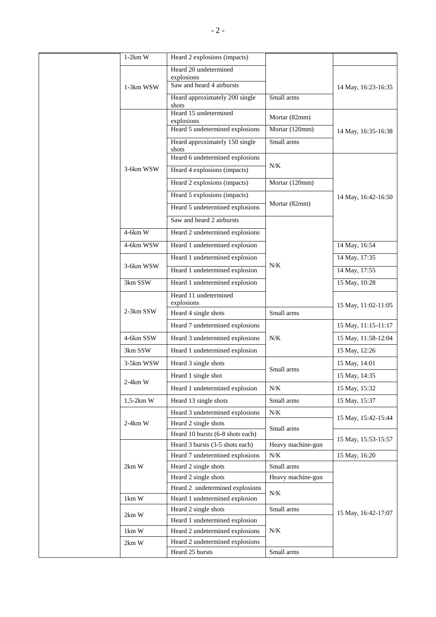|  | $1-2km$ W              | Heard 2 explosions (impacts)                  |                   |                     |
|--|------------------------|-----------------------------------------------|-------------------|---------------------|
|  |                        | Heard 20 undetermined                         |                   |                     |
|  |                        | explosions<br>Saw and heard 4 airbursts       |                   |                     |
|  | 1-3km WSW              |                                               |                   | 14 May, 16:23-16:35 |
|  |                        | Heard approximately 200 single<br>shots       | Small arms        |                     |
|  |                        | Heard 15 undetermined                         | Mortar (82mm)     | 14 May, 16:35-16:38 |
|  |                        | explosions<br>Heard 5 undetermined explosions | Mortar (120mm)    |                     |
|  |                        | Heard approximately 150 single                | Small arms        |                     |
|  |                        | shots                                         |                   |                     |
|  |                        | Heard 6 undetermined explosions               |                   |                     |
|  | 3-6km WSW              | Heard 4 explosions (impacts)                  | $N/K$             |                     |
|  |                        | Heard 2 explosions (impacts)                  | Mortar (120mm)    |                     |
|  |                        | Heard 5 explosions (impacts)                  |                   | 14 May, 16:42-16:50 |
|  |                        | Heard 5 undetermined explosions               | Mortar (82mm)     |                     |
|  |                        | Saw and heard 2 airbursts                     |                   |                     |
|  | $4-6km$ W              | Heard 2 undetermined explosions               |                   |                     |
|  |                        |                                               |                   |                     |
|  | 4-6km WSW              | Heard 1 undetermined explosion                |                   | 14 May, 16:54       |
|  | 3-6km WSW              | Heard 1 undetermined explosion                | $N/K$             | 14 May, 17:35       |
|  |                        | Heard 1 undetermined explosion                |                   | 14 May, 17:55       |
|  | 3km SSW                | Heard 1 undetermined explosion                |                   | 15 May, 10:28       |
|  |                        | Heard 11 undetermined                         |                   | 15 May, 11:02-11:05 |
|  | 2-3km SSW              | explosions<br>Heard 4 single shots            | Small arms        |                     |
|  |                        |                                               |                   |                     |
|  |                        | Heard 7 undetermined explosions               |                   | 15 May, 11:15-11:17 |
|  | 4-6km SSW              | Heard 3 undetermined explosions               | $N/K$             | 15 May, 11:58-12:04 |
|  | 3km SSW                | Heard 1 undetermined explosion                |                   | 15 May, 12:26       |
|  | 3-5km WSW              | Heard 3 single shots                          | Small arms        | 15 May, 14:01       |
|  | $2-4km$ W              | Heard 1 single shot                           |                   | 15 May, 14:35       |
|  |                        | Heard 1 undetermined explosion                | N/K               | 15 May, 15:32       |
|  | $1,5-2km$ W            | Heard 13 single shots                         | Small arms        | 15 May, 15:37       |
|  |                        | Heard 3 undetermined explosions               | $N\!/\!K$         |                     |
|  | $2-4km$ W              | Heard 2 single shots                          |                   | 15 May, 15:42-15:44 |
|  |                        | Heard 10 bursts (6-8 shots each)              | Small arms        |                     |
|  |                        | Heard 3 bursts (3-5 shots each)               | Heavy machine-gun | 15 May, 15:53-15:57 |
|  | $2km$ W                | Heard 7 undetermined explosions               | $N/K$             | 15 May, 16:20       |
|  |                        | Heard 2 single shots                          | Small arms        |                     |
|  |                        | Heard 2 single shots                          | Heavy machine-gun |                     |
|  |                        | Heard 2 undetermined explosions               | N/K               |                     |
|  | 1km W                  | Heard 1 undetermined explosion                |                   |                     |
|  | $2km$ W                | Heard 2 single shots                          | Small arms        | 15 May, 16:42-17:07 |
|  |                        | Heard 1 undetermined explosion                |                   |                     |
|  | $1 \text{km} \text{W}$ | Heard 2 undetermined explosions               | N/K               |                     |
|  | $2km$ W                | Heard 2 undetermined explosions               |                   |                     |
|  |                        | Heard 25 bursts                               | Small arms        |                     |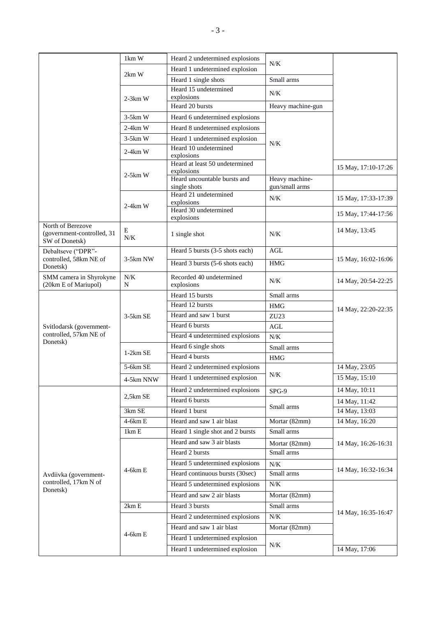|                                                                   | 1km W                     | Heard 2 undetermined explosions                         |                   |                     |
|-------------------------------------------------------------------|---------------------------|---------------------------------------------------------|-------------------|---------------------|
|                                                                   |                           | Heard 1 undetermined explosion                          | N/K               |                     |
|                                                                   | 2km W                     | Heard 1 single shots                                    | Small arms        |                     |
|                                                                   |                           | Heard 15 undetermined<br>explosions                     | N/K               |                     |
|                                                                   | $2-3km$ W                 | Heard 20 bursts                                         | Heavy machine-gun |                     |
|                                                                   | $3-5km$ W                 | Heard 6 undetermined explosions                         |                   |                     |
|                                                                   | $2-4km$ W                 |                                                         |                   |                     |
|                                                                   |                           | Heard 8 undetermined explosions                         |                   |                     |
|                                                                   | $3-5km$ W                 | Heard 1 undetermined explosion<br>Heard 10 undetermined | N/K               |                     |
|                                                                   | $2-4km$ W                 | explosions                                              |                   |                     |
|                                                                   |                           | Heard at least 50 undetermined<br>explosions            |                   | 15 May, 17:10-17:26 |
|                                                                   | $2-5km$ W                 | Heard uncountable bursts and                            | Heavy machine-    |                     |
|                                                                   |                           | single shots                                            | gun/small arms    |                     |
|                                                                   |                           | Heard 21 undetermined<br>explosions                     | N/K               | 15 May, 17:33-17:39 |
|                                                                   | $2-4km$ W                 | Heard 30 undetermined                                   |                   | 15 May, 17:44-17:56 |
|                                                                   |                           | explosions                                              |                   |                     |
| North of Berezove<br>(government-controlled, 31<br>SW of Donetsk) | E<br>N/K                  | 1 single shot                                           | N/K               | 14 May, 13:45       |
| Debaltseve ("DPR"-                                                |                           | Heard 5 bursts (3-5 shots each)                         | <b>AGL</b>        |                     |
| controlled, 58km NE of<br>Donetsk)                                | 3-5km NW                  | Heard 3 bursts (5-6 shots each)                         | <b>HMG</b>        | 15 May, 16:02-16:06 |
| SMM camera in Shyrokyne<br>(20km E of Mariupol)                   | $N/K$<br>N                | Recorded 40 undetermined<br>explosions                  | N/K               | 14 May, 20:54-22:25 |
|                                                                   |                           | Heard 15 bursts                                         | Small arms        |                     |
|                                                                   | $3-5km$ SE                | Heard 12 bursts                                         | <b>HMG</b>        | 14 May, 22:20-22:35 |
|                                                                   |                           | Heard and saw 1 burst                                   | ZU <sub>23</sub>  |                     |
| Svitlodarsk (government-                                          |                           | Heard 6 bursts                                          | <b>AGL</b>        |                     |
| controlled, 57km NE of                                            |                           | Heard 4 undetermined explosions                         | $N/K$             |                     |
| Donetsk)                                                          |                           | Heard 6 single shots                                    | Small arms        |                     |
|                                                                   | $1-2km$ SE                | Heard 4 bursts                                          | <b>HMG</b>        |                     |
|                                                                   | 5-6km SE                  | Heard 2 undetermined explosions                         |                   | 14 May, 23:05       |
|                                                                   | 4-5km NNW                 | Heard 1 undetermined explosion                          | N/K               | 15 May, 15:10       |
|                                                                   |                           | Heard 2 undetermined explosions                         | SPG-9             | 14 May, 10:11       |
|                                                                   | $2,5km$ SE                | Heard 6 bursts                                          |                   | 14 May, 11:42       |
|                                                                   | 3km SE                    | Heard 1 burst                                           | Small arms        | 14 May, 13:03       |
|                                                                   | $4-6km E$                 | Heard and saw 1 air blast                               | Mortar (82mm)     | 14 May, 16:20       |
|                                                                   | $1 \text{km} \, \text{E}$ | Heard 1 single shot and 2 bursts                        | Small arms        |                     |
| Avdiivka (government-<br>controlled, 17km N of<br>Donetsk)        |                           | Heard and saw 3 air blasts                              | Mortar (82mm)     | 14 May, 16:26-16:31 |
|                                                                   | $4-6km E$                 | Heard 2 bursts                                          | Small arms        |                     |
|                                                                   |                           | Heard 5 undetermined explosions                         | $N\!/\!K$         | 14 May, 16:32-16:34 |
|                                                                   |                           | Heard continuous bursts (30sec)                         | Small arms        |                     |
|                                                                   |                           | Heard 5 undetermined explosions                         | N/K               |                     |
|                                                                   |                           | Heard and saw 2 air blasts                              | Mortar (82mm)     |                     |
|                                                                   | 2km E                     | Heard 3 bursts                                          | Small arms        |                     |
|                                                                   |                           | Heard 2 undetermined explosions                         | N/K               | 14 May, 16:35-16:47 |
|                                                                   | 4-6km E                   | Heard and saw 1 air blast                               | Mortar (82mm)     |                     |
|                                                                   |                           | Heard 1 undetermined explosion                          | $N\!/\!K$         |                     |
|                                                                   |                           | Heard 1 undetermined explosion                          |                   | 14 May, 17:06       |
|                                                                   |                           |                                                         |                   |                     |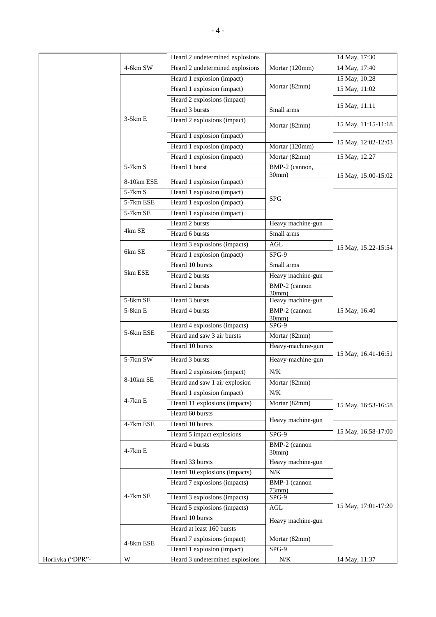|                  |                         | Heard 2 undetermined explosions    |                         | 14 May, 17:30       |
|------------------|-------------------------|------------------------------------|-------------------------|---------------------|
|                  | $4-6km$ SW              | Heard 2 undetermined explosions    | Mortar (120mm)          | 14 May, 17:40       |
|                  |                         | Heard 1 explosion (impact)         |                         | 15 May, 10:28       |
|                  |                         | Heard 1 explosion (impact)         | Mortar (82mm)           | 15 May, 11:02       |
|                  |                         | Heard 2 explosions (impact)        |                         | 15 May, 11:11       |
|                  |                         | Heard 3 bursts                     | Small arms              |                     |
|                  | $3-5km E$               | Heard 2 explosions (impact)        | Mortar (82mm)           | 15 May, 11:15-11:18 |
|                  |                         | Heard 1 explosion (impact)         |                         | 15 May, 12:02-12:03 |
|                  |                         | Heard 1 explosion (impact)         | Mortar (120mm)          |                     |
|                  |                         | Heard 1 explosion (impact)         | Mortar (82mm)           | 15 May, 12:27       |
|                  | $5-7km S$               | Heard 1 burst                      | BMP-2 (cannon,<br>30mm) | 15 May, 15:00-15:02 |
|                  | 8-10km ESE              | Heard 1 explosion (impact)         |                         |                     |
|                  | 5-7km S                 | Heard 1 explosion (impact)         | <b>SPG</b>              |                     |
|                  | 5-7km ESE               | Heard 1 explosion (impact)         |                         |                     |
|                  | $5-7km$ SE              | Heard 1 explosion (impact)         |                         |                     |
|                  |                         | Heard 2 bursts                     | Heavy machine-gun       |                     |
|                  | 4km SE                  | Heard 6 bursts                     | Small arms              |                     |
|                  |                         | Heard 3 explosions (impacts)       | $\operatorname{AGL}$    | 15 May, 15:22-15:54 |
|                  | 6km SE                  | Heard 1 explosion (impact)         | $SPG-9$                 |                     |
|                  |                         | Heard 10 bursts                    | Small arms              |                     |
|                  | 5km ESE                 | Heard 2 bursts                     | Heavy machine-gun       |                     |
|                  |                         | Heard 2 bursts                     | BMP-2 (cannon<br>30mm)  |                     |
|                  | 5-8km SE                | Heard 3 bursts                     | Heavy machine-gun       |                     |
|                  | $5-8km E$               | Heard 4 bursts                     | BMP-2 (cannon<br>30mm)  | 15 May, 16:40       |
|                  | 5-6km ESE               | Heard 4 explosions (impacts)       | $SPG-9$                 |                     |
|                  |                         | Heard and saw 3 air bursts         | Mortar (82mm)           | 15 May, 16:41-16:51 |
|                  |                         | Heard 10 bursts                    | Heavy-machine-gun       |                     |
|                  | 5-7km SW                | Heard 3 bursts                     | Heavy-machine-gun       |                     |
|                  | 8-10km SE               | Heard 2 explosions (impact)        | N/K                     |                     |
|                  |                         | Heard and saw 1 air explosion      | Mortar (82mm)           |                     |
|                  |                         | Heard 1 explosion (impact)         | $N/K$                   |                     |
|                  | 4-7km E                 | Heard 11 explosions (impacts)      | Mortar (82mm)           | 15 May, 16:53-16:58 |
|                  | 4-7km ESE               | Heard 60 bursts<br>Heard 10 bursts | Heavy machine-gun       |                     |
|                  |                         | Heard 5 impact explosions          | SPG-9                   | 15 May, 16:58-17:00 |
|                  | 4-7km E                 | Heard 4 bursts                     | BMP-2 (cannon<br>30mm)  |                     |
|                  |                         | Heard 33 bursts                    | Heavy machine-gun       | 15 May, 17:01-17:20 |
|                  |                         | Heard 10 explosions (impacts)      | N/K                     |                     |
|                  |                         | Heard 7 explosions (impacts)       | BMP-1 (cannon           |                     |
|                  | 4-7km SE                | Heard 3 explosions (impacts)       | $73$ mm $)$<br>SPG-9    |                     |
|                  |                         | Heard 5 explosions (impacts)       | $\operatorname{AGL}$    |                     |
|                  |                         | Heard 10 bursts                    |                         |                     |
|                  |                         | Heard at least 160 bursts          | Heavy machine-gun       |                     |
|                  |                         | Heard 7 explosions (impact)        | Mortar (82mm)           |                     |
|                  | 4-8km ESE               | Heard 1 explosion (impact)         | $SPG-9$                 |                     |
| Horlivka ("DPR"- | $\ensuremath{\text{W}}$ | Heard 3 undetermined explosions    | N/K                     | 14 May, 11:37       |
|                  |                         |                                    |                         |                     |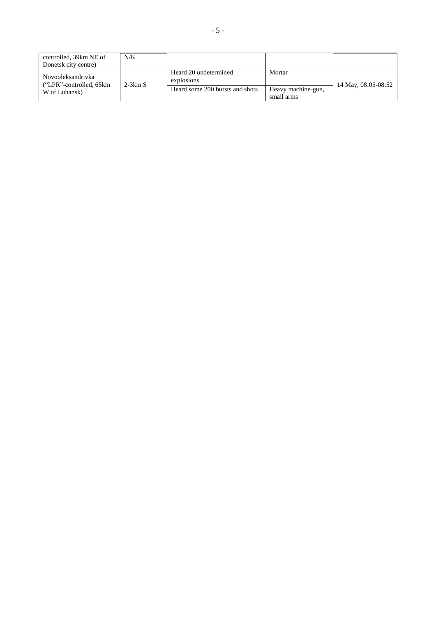| controlled, 39km NE of                       | N/K       |                                     |                    |                     |
|----------------------------------------------|-----------|-------------------------------------|--------------------|---------------------|
| Donetsk city centre)                         |           |                                     |                    |                     |
| Novooleksandrivka<br>("LPR"-controlled, 65km | $2-3km S$ | Heard 20 undetermined<br>explosions | Mortar             | 14 May, 08:05-08:52 |
| W of Luhansk)                                |           | Heard some 200 bursts and shots     | Heavy machine-gun, |                     |
|                                              |           |                                     | small arms         |                     |